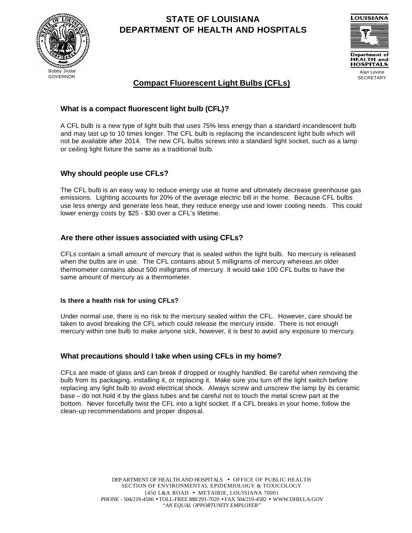

# **STATE OF LOUISIANA DEPARTMENT OF HEALTH AND HOSPITALS**



## **Compact Fluorescent Light Bulbs (CFLs)**

### **What is a compact fluorescent light bulb (CFL)?**

A CFL bulb is a new type of light bulb that uses 75% less energy than a standard incandescent bulb and may last up to 10 times longer. The CFL bulb is replacing the incandescent light bulb which will not be available after 2014. The new CFL bulbs screws into a standard light socket, such as a lamp or ceiling light fixture the same as a traditional bulb.

#### **Why should people use CFLs?**

The CFL bulb is an easy way to reduce energy use at home and ultimately decrease greenhouse gas emissions. Lighting accounts for 20% of the average electric bill in the home. Because CFL bulbs use less energy and generate less heat, they reduce energy use and lower cooling needs. This could lower energy costs by \$25 - \$30 over a CFL's lifetime.

#### **Are there other issues associated with using CFLs?**

CFLs contain a small amount of mercury that is sealed within the light bulb. No mercury is released when the bulbs are in use. The CFL contains about 5 milligrams of mercury whereas an older thermometer contains about 500 milligrams of mercury. It would take 100 CFL bulbs to have the same amount of mercury as a thermometer.

#### **Is there a health risk for using CFLs?**

Under normal use, there is no risk to the mercury sealed within the CFL. However, care should be taken to avoid breaking the CFL which could release the mercury inside. There is not enough mercury within one bulb to make anyone sick, however, it is best to avoid any exposure to mercury.

#### **What precautions should I take when using CFLs in my home?**

CFLs are made of glass and can break if dropped or roughly handled. Be careful when removing the bulb from its packaging, installing it, or replacing it. Make sure you turn off the light switch before replacing any light bulb to avoid electrical shock. Always screw and unscrew the lamp by its ceramic base – do not hold it by the glass tubes and be careful not to touch the metal screw part at the bottom. Never forcefully twist the CFL into a light socket. If a CFL breaks in your home, follow the clean-up recommendations and proper disposal.

> DEPARTMENT OF HEALTH AND HOSPITALS • OFFICE OF PUBLIC HEALTH SECTION OF ENVIRONMENTAL EPIDEMIOLOGY & TOXICOLOGY 1450 L&A ROAD • METAIRIE, LOUISIANA 70001 PHONE - 504/219-4586 • TOLL-FREE 888/293-7020 • FAX 504/219-4582 • WWW.DHH.LA.GOV *"AN EQUAL OPPORTUNITY EMPLOYER"*